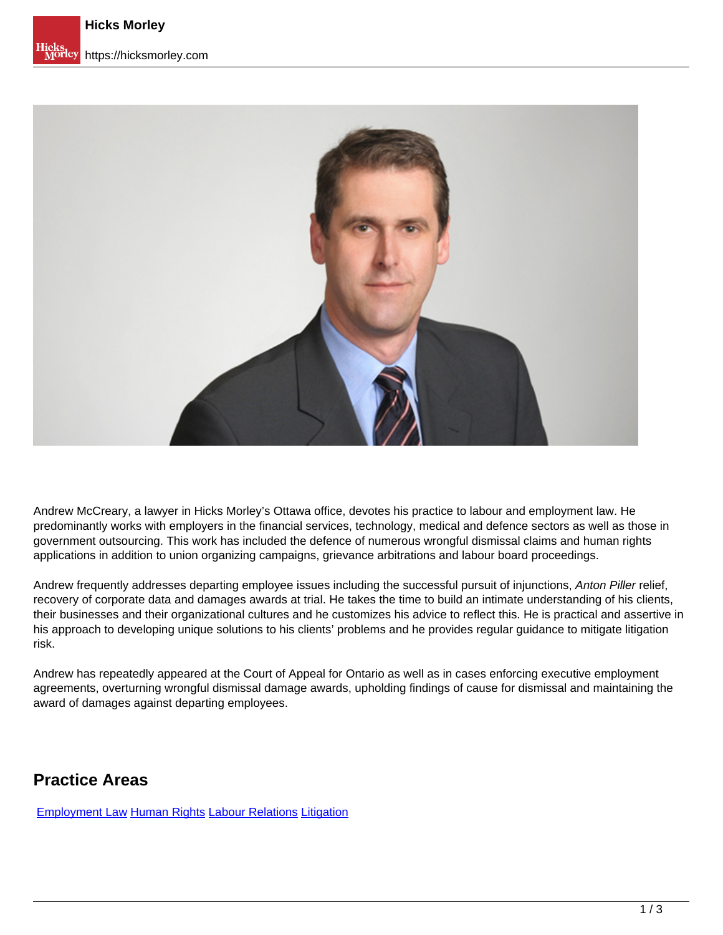

Andrew McCreary, a lawyer in Hicks Morley's Ottawa office, devotes his practice to labour and employment law. He predominantly works with employers in the financial services, technology, medical and defence sectors as well as those in government outsourcing. This work has included the defence of numerous wrongful dismissal claims and human rights applications in addition to union organizing campaigns, grievance arbitrations and labour board proceedings.

Andrew frequently addresses departing employee issues including the successful pursuit of injunctions, Anton Piller relief, recovery of corporate data and damages awards at trial. He takes the time to build an intimate understanding of his clients, their businesses and their organizational cultures and he customizes his advice to reflect this. He is practical and assertive in his approach to developing unique solutions to his clients' problems and he provides regular guidance to mitigate litigation risk.

Andrew has repeatedly appeared at the Court of Appeal for Ontario as well as in cases enforcing executive employment agreements, overturning wrongful dismissal damage awards, upholding findings of cause for dismissal and maintaining the award of damages against departing employees.

## **Practice Areas**

[Employment Law](https://hicksmorley.com/expertise/employment-law) Human Rights Labour Relations Litigation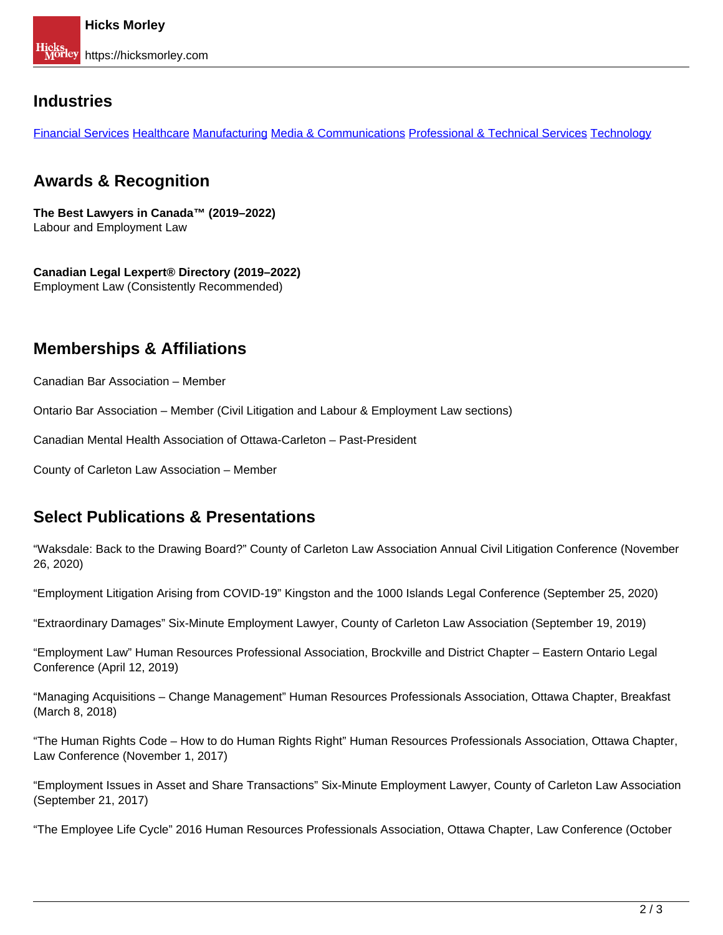### **Industries**

Financial Services Healthcare Manufacturing Media & Communications Professional & Technical Services Technology

## **Awards & Recognition**

**The Best Lawyers in Canada™ (2019–2022)** Labour and Employment Law

**Canadian Legal Lexpert® Directory (2019–2022)**  Employment Law (Consistently Recommended)

# **Memberships & Affiliations**

Canadian Bar Association – Member

Ontario Bar Association – Member (Civil Litigation and Labour & Employment Law sections)

Canadian Mental Health Association of Ottawa-Carleton – Past-President

County of Carleton Law Association – Member

## **Select Publications & Presentations**

"Waksdale: Back to the Drawing Board?" County of Carleton Law Association Annual Civil Litigation Conference (November 26, 2020)

"Employment Litigation Arising from COVID-19" Kingston and the 1000 Islands Legal Conference (September 25, 2020)

"Extraordinary Damages" Six-Minute Employment Lawyer, County of Carleton Law Association (September 19, 2019)

"Employment Law" Human Resources Professional Association, Brockville and District Chapter – Eastern Ontario Legal Conference (April 12, 2019)

"Managing Acquisitions – Change Management" Human Resources Professionals Association, Ottawa Chapter, Breakfast (March 8, 2018)

"The Human Rights Code – How to do Human Rights Right" Human Resources Professionals Association, Ottawa Chapter, Law Conference (November 1, 2017)

"Employment Issues in Asset and Share Transactions" Six-Minute Employment Lawyer, County of Carleton Law Association (September 21, 2017)

"The Employee Life Cycle" 2016 Human Resources Professionals Association, Ottawa Chapter, Law Conference (October